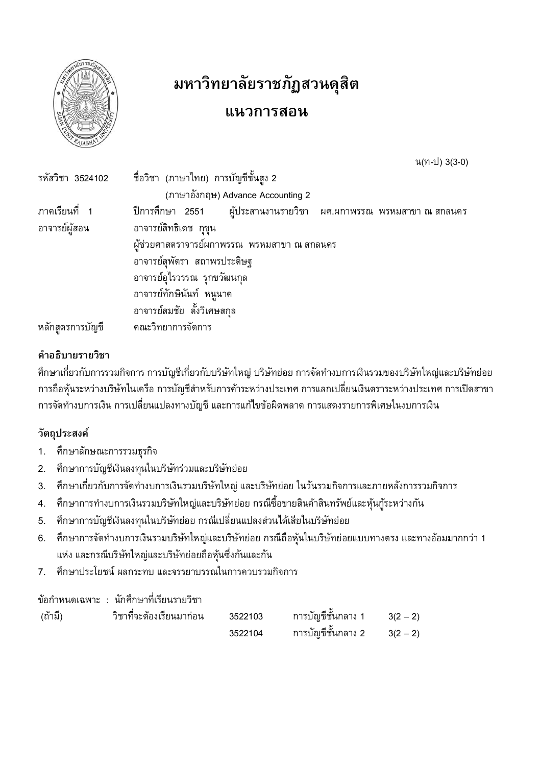

# มหาวิทยาลัยราชภัฏสวนดุสิต

## แนวการสอน

น(ท-ป) 3(3-0)

| รหัสวิชา 3524102                           | ี ชื่อวิชา (ภาษาไทย) การบัญชีชันสูง 2                               |  |  |  |  |  |  |  |  |  |
|--------------------------------------------|---------------------------------------------------------------------|--|--|--|--|--|--|--|--|--|
|                                            | (ภาษาอังกฤษ) Advance Accounting 2                                   |  |  |  |  |  |  |  |  |  |
| ภาคเรียนที่ 1                              | ปีการศึกษา 2551   ผู้ประสานงานรายวิชา  ผศ.ผกาพรรณ พรหมสาขา ณ สกลนคร |  |  |  |  |  |  |  |  |  |
| อาจารย์สิทธิเดช กขน<br>อาจารย์ผัสอน        |                                                                     |  |  |  |  |  |  |  |  |  |
| ผ้ช่วยศาสตราจารย์ผกาพรรณ พรหมสาขา ณ สกลนคร |                                                                     |  |  |  |  |  |  |  |  |  |
|                                            | อาจารย์สุพัตรา สถาพรประดิษฐ                                         |  |  |  |  |  |  |  |  |  |
|                                            | อาจารย์อุไรวรรณ รุกขวัฒนกุล                                         |  |  |  |  |  |  |  |  |  |
|                                            | อาจารย์ทักษินันท์ หนูนาค                                            |  |  |  |  |  |  |  |  |  |
|                                            | อาจารย์สมชัย ตั้งวิเศษสกุล                                          |  |  |  |  |  |  |  |  |  |
| หลักสตรการบัญชี                            | คณะวิทยาการจัดการ                                                   |  |  |  |  |  |  |  |  |  |

#### คำอธิบายรายวิชา

้ศึกษาเกี่ยวกับการรวมกิจการ การบัญชีเกี่ยวกับบริษัทใหญ่ บริษัทย่อย การจัดทำงบการเงินรวมของบริษัทใหญ่และบริษัทย่อย การถือหุ้นระหว่างบริษัทในเครือ การบัญชีสำหรับการค้าระหว่างประเทศ การแลกเปลี่ยนเงินตราระหว่างประเทศ การเปิดสาขา การจัดทำงบการเงิน การเปลี่ยนแปลงทางบัญชี และการแก้ไขข้อผิดพลาด การแสดงรายการพิเศษในงบการเงิน

## วัตถุประสงค์

- ศึกษาลักษณะการรวมธุรกิจ  $1.$
- ศึกษาการบัญชีเงินลงทุนในบริษัทร่วมและบริษัทย่อย  $2.$
- ้ศึกษาเกี่ยวกับการจัดทำงบการเงินรวมบริษัทใหญ่ และบริษัทย่อย ในวันรวมกิจการและภายหลังการรวมกิจการ  $3<sub>1</sub>$
- ้ศึกษาการทำงบการเงินรวมบริษัทใหญ่และบริษัทย่อย กรณีซื้อขายสินค้าสินทรัพย์และหุ้นกู้ระหว่างกัน  $4.$
- ้ศึกษาการบัญชีเงินลงทุนในบริษัทย่อย กรณีเปลี่ยนแปลงส่วนได้เสียในบริษัทย่อย 5.
- ้ศึกษาการจัดทำงบการเงินรวมบริษัทใหญ่และบริษัทย่อย กรณีถือหุ้นในบริษัทย่อยแบบทางตรง และทางอ้อมมากกว่า 1  $6.$ แห่ง และกรณีบริษัทใหญ่และบริษัทย่อยถือหุ้นซึ่งกันและกัน
- ้ศึกษาประโยชน์ ผลกระทบ และจรรยาบรรณในการควบรวมกิจการ  $7.$

#### ข้อกำหนดเฉพาะ : นักศึกษาที่เรียนรายวิชา

| (ถ้ามี) | ำชาทจะต้องเรียนมาก่อน | 3522103 | ิการบฌชัชนกลาง 1    | $3(2 - 2)$ |
|---------|-----------------------|---------|---------------------|------------|
|         |                       | 3522104 | ่ การบัญชีชันกลาง 2 | $3(2 - 2)$ |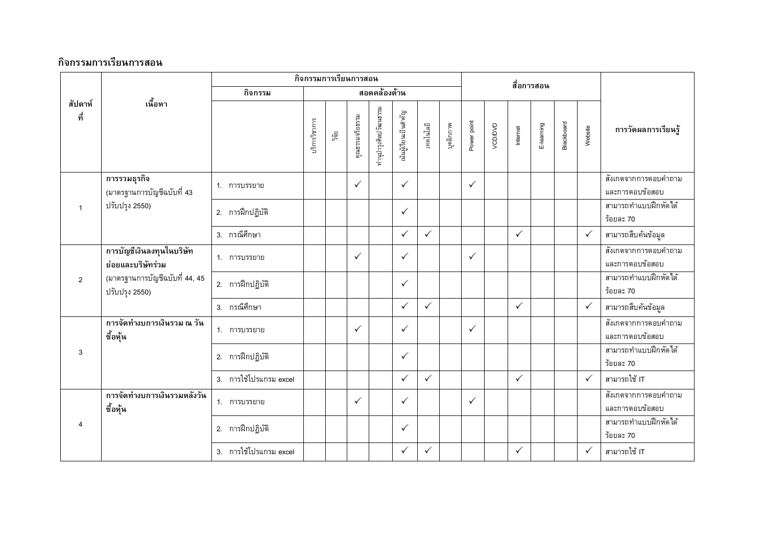|                                |                                                  |                        |        | กิจกรรมการเรียนการสอน |                       |                      |              |              |             | สื่อการสอน   |          |              |            |         |                                   |                                           |
|--------------------------------|--------------------------------------------------|------------------------|--------|-----------------------|-----------------------|----------------------|--------------|--------------|-------------|--------------|----------|--------------|------------|---------|-----------------------------------|-------------------------------------------|
|                                |                                                  | กิจกรรม                |        |                       |                       | สอดคล้องด้าน         |              |              |             |              |          |              |            |         |                                   |                                           |
| เนื้อหา<br>สัปดาห์<br>ที่      |                                                  | บริการวิชาการ          | ្តិព្យ | คุณธรรมจริยธรรม       | กำนุบำรุงศิลปวัฒนธรรม | นันผู้เรียนเป็นสำคัญ | เทคโนโลยี    | บุคลิกภาพ    | Power point | VCD/DVD      | Internet | E-leaming    | Blackboard | Website | การวัดผลการเรียนรู้               |                                           |
|                                | การรวมธุรกิจ<br>(มาตรฐานการบัญชีฉบับที่ 43       | 1. การบรรยาย           |        |                       | $\checkmark$          |                      | $\checkmark$ |              |             | $\checkmark$ |          |              |            |         |                                   | ์ สังเกตจากการตอบคำถาม<br>และการตอบข้อสอบ |
| ปรับปรุง 2550)<br>$\mathbf{1}$ | 2. การฝึกปฏิบัติ                                 |                        |        |                       |                       | $\checkmark$         |              |              |             |              |          |              |            |         | สามารถทำแบบฝึกหัดได้<br>ร้อยละ 70 |                                           |
|                                |                                                  | 3. กรณีศึกษา           |        |                       |                       |                      | $\checkmark$ | $\checkmark$ |             |              |          | $\checkmark$ |            |         | $\checkmark$                      | สามารถสืบค้นข้อมูล                        |
|                                | การบัญชีเงินลงทุนในบริษัท<br>ย่อยและบริษัทร่วม   | 1. การบรรยาย           |        |                       | $\checkmark$          |                      | $\checkmark$ |              |             | $\checkmark$ |          |              |            |         |                                   | ์ สังเกตจากการตอบคำถาม<br>และการตอบข้อสอบ |
| 2                              | (มาตรฐานการบัญชีฉบับที่ 44, 45<br>ปรับปรุง 2550) | 2. การฝึกปฏิบัติ       |        |                       |                       |                      | $\checkmark$ |              |             |              |          |              |            |         |                                   | สามารถทำแบบฝึกหัดได้<br>ร้อยละ 70         |
|                                |                                                  | 3. กรณีศึกษา           |        |                       |                       |                      | $\checkmark$ | $\checkmark$ |             |              |          | $\checkmark$ |            |         | $\checkmark$                      | สามารถสืบค้นข้อมูล                        |
|                                | การจัดทำงบการเงินรวม ณ วัน<br>ซื้อหุ้น           | 1. การบรรยาย           |        |                       | $\checkmark$          |                      | $\checkmark$ |              |             | $\checkmark$ |          |              |            |         |                                   | สังเกตจากการตอบคำถาม<br>และการตอบข้อสอบ   |
| 3                              |                                                  | 2. การฝึกปฏิบัติ       |        |                       |                       |                      | $\checkmark$ |              |             |              |          |              |            |         |                                   | สามารถทำแบบฝึกหัดได้<br>ร้อยละ 70         |
|                                |                                                  | 3. การใช้โปรแกรม excel |        |                       |                       |                      | $\checkmark$ | $\checkmark$ |             |              |          | $\checkmark$ |            |         | $\checkmark$                      | สามารถใช้ IT                              |
|                                | การจัดทำงบการเงินรวมหลังวัน<br>ซื้อหุ้น          | 1. การบรรยาย           |        |                       | $\checkmark$          |                      | $\checkmark$ |              |             | $\checkmark$ |          |              |            |         |                                   | สังเกตจากการตอบคำถาม<br>และการตอบข้อสอบ   |
| $\overline{4}$                 |                                                  | 2. การฝึกปฏิบัติ       |        |                       |                       |                      | $\checkmark$ |              |             |              |          |              |            |         |                                   | สามารถทำแบบฝึกหัดได้<br>ร้อยละ 70         |
|                                |                                                  | 3. การใช้โปรแกรม excel |        |                       |                       |                      | $\checkmark$ | ✓            |             |              |          | $\checkmark$ |            |         | $\checkmark$                      | สามารถใช้ IT                              |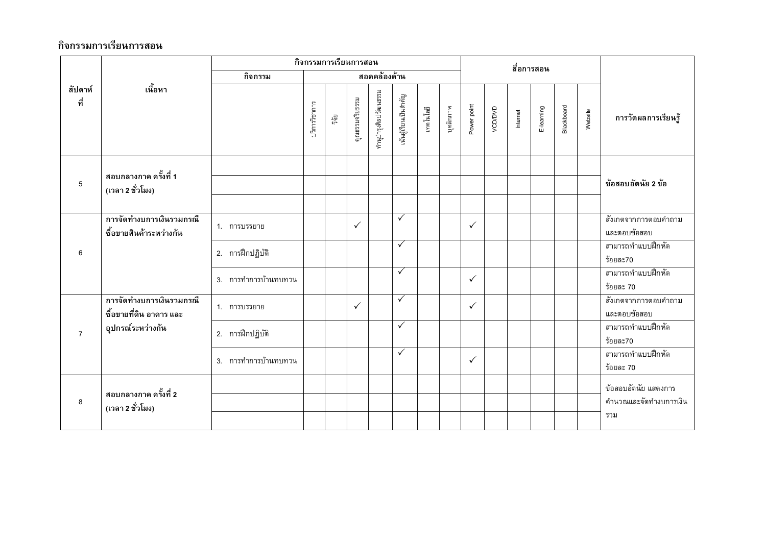|                           |                                                          |                      |              |                 | กิจกรรมการเรียนการสอน |                      |              |           |             | สื่อการสอน   |          |            |            |         |                     |                                      |
|---------------------------|----------------------------------------------------------|----------------------|--------------|-----------------|-----------------------|----------------------|--------------|-----------|-------------|--------------|----------|------------|------------|---------|---------------------|--------------------------------------|
|                           |                                                          | กิจกรรม              | สอดคล้องด้าน |                 |                       |                      |              |           |             |              |          |            |            |         |                     |                                      |
| เนื้อหา<br>สัปดาห์<br>ที่ |                                                          | บริการวิชาการ        | ្មាត្ត<br>កូ | คุณธรรมจริยธรรม | ทำนุบำรุงศิลปวัฒนธรรม | นันผู้เรียนเป็นสำคัญ | เทคโนโลยี    | บุคลิกภาพ | Power point | VCD/DVD      | Internet | E-learning | Blackboard | Website | การวัดผลการเรียนรู้ |                                      |
| 5                         | ี สอบกลางภาค ครั้งที่ 1<br>(เวลา 2 ชั่วโมง)              |                      |              |                 |                       |                      |              |           |             |              |          |            |            |         |                     | ข้อสอบอัตนัย 2 ข้อ                   |
|                           | การจัดทำงบการเงินรวมกรณี<br>ซื้อขายสินค้าระหว่างกัน      | 1. การบรรยาย         |              |                 | $\checkmark$          |                      | $\checkmark$ |           |             | $\checkmark$ |          |            |            |         |                     | สังเกตจากการตอบคำถาม<br>และตอบข้อสอบ |
| 6                         |                                                          | 2. การฝึกปฏิบัติ     |              |                 |                       |                      | $\checkmark$ |           |             |              |          |            |            |         |                     | สามารถทำแบบฝึกหัด<br>ร้อยละ70        |
|                           |                                                          | 3. การทำการบ้านทบทวน |              |                 |                       |                      | $\checkmark$ |           |             | $\checkmark$ |          |            |            |         |                     | สามารถทำแบบฝึกหัด<br>ร้อยละ 70       |
|                           | ์<br>การจัดทำงบการเงินรวมกรณี<br>ซื้อขายที่ดิน อาคาร และ | 1. การบรรยาย         |              |                 | $\checkmark$          |                      | $\checkmark$ |           |             | $\checkmark$ |          |            |            |         |                     | สังเกตจากการตอบคำถาม<br>และตอบข้อสอบ |
| $\overline{7}$            | อุปกรณ์ระหว่างกัน                                        | 2. การฝึกปฏิบัติ     |              |                 |                       |                      | $\checkmark$ |           |             |              |          |            |            |         |                     | สามารถทำแบบฝึกหัด<br>ร้อยละ70        |
|                           |                                                          | 3. การทำการบ้านทบทวน |              |                 |                       |                      | $\checkmark$ |           |             | $\checkmark$ |          |            |            |         |                     | สามารถทำแบบฝึกหัด<br>ร้อยละ 70       |
|                           | สอบกลางภาค ครั้งที่ 2                                    |                      |              |                 |                       |                      |              |           |             |              |          |            |            |         |                     | ข้อสอบอัตนัย แสดงการ                 |
| 8                         | (เวลา 2 ชั่วโมง)                                         |                      |              |                 |                       |                      |              |           |             |              |          |            |            |         |                     | คำนวณและจัดทำงบการเงิน<br>รวม        |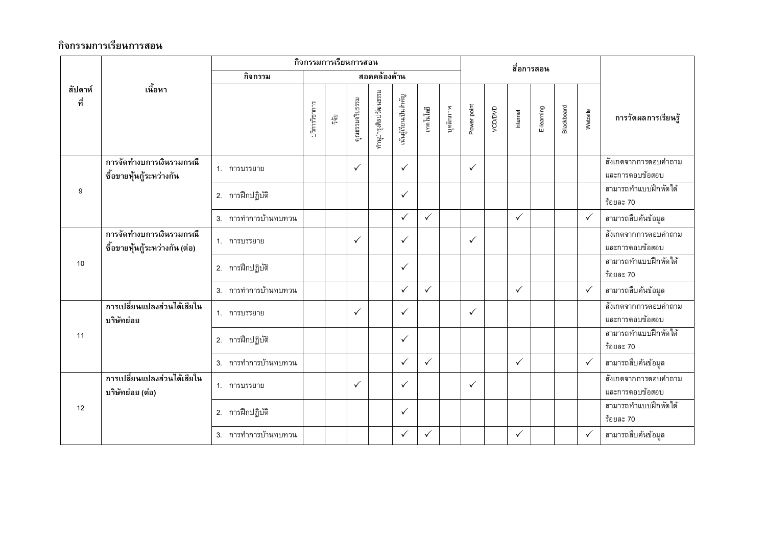|                           |                                                            |                      |              | กิจกรรมการเรียนการสอน |                       |                       |              |              |             |              |          | สื่อการสอน   |            |         |                     |                                         |
|---------------------------|------------------------------------------------------------|----------------------|--------------|-----------------------|-----------------------|-----------------------|--------------|--------------|-------------|--------------|----------|--------------|------------|---------|---------------------|-----------------------------------------|
|                           |                                                            | กิจกรรม              | สอดคล้องด้าน |                       |                       |                       |              |              |             |              |          |              |            |         |                     |                                         |
| เนื้อหา<br>สัปดาห์<br>ที่ |                                                            | ปริการวิชาการ        | រឹត្តិ       | คุณธรรมจริยธรรม       | ทำนุบำรุงศิลปวัฒนธรรม | .นันผู้เรียนเป็นสำคัญ | เทคโนโลยี    | บุคลิกภาพ    | Power point | VCD/DVD      | Internet | E-learning   | Blackboard | Website | การวัดผลการเรียนรู้ |                                         |
|                           | การจัดทำงบการเงินรวมกรณี<br>ซื้อขายหุ้นกู้ระหว่างกัน       | 1. การบรรยาย         |              |                       | $\checkmark$          |                       | $\checkmark$ |              |             | $\checkmark$ |          |              |            |         |                     | สังเกตจากการตอบคำถาม<br>และการตอบข้อสอบ |
| 9                         |                                                            | 2. การฝึกปฏิบัติ     |              |                       |                       |                       | $\checkmark$ |              |             |              |          |              |            |         |                     | สามารถทำแบบฝึกหัดได้<br>ร้อยละ 70       |
|                           |                                                            | 3. การทำการบ้านทบทวน |              |                       |                       |                       | $\checkmark$ | $\checkmark$ |             |              |          | $\checkmark$ |            |         | $\checkmark$        | สามารถสืบค้นข้อมูล                      |
|                           | การจัดทำงบการเงินรวมกรณี<br>ซื้อขายหุ้นกู้ระหว่างกัน (ต่อ) | 1. การบรรยาย         |              |                       | $\checkmark$          |                       | $\checkmark$ |              |             | $\checkmark$ |          |              |            |         |                     | สังเกตจากการตอบคำถาม<br>และการตอบข้อสอบ |
| 10                        |                                                            | 2. การฝึกปฏิบัติ     |              |                       |                       |                       | $\checkmark$ |              |             |              |          |              |            |         |                     | สามารถทำแบบฝึกหัดได้<br>ร้อยละ 70       |
|                           |                                                            | 3. การทำการบ้านทบทวน |              |                       |                       |                       | $\checkmark$ | $\checkmark$ |             |              |          | $\checkmark$ |            |         | $\checkmark$        | สามารถสืบค้นข้อมูล                      |
|                           | การเปลี่ยนแปลงส่วนได้เสียใน<br>บริษัทย่อย                  | 1. การบรรยาย         |              |                       | $\checkmark$          |                       | $\checkmark$ |              |             | $\checkmark$ |          |              |            |         |                     | สังเกตจากการตอบคำถาม<br>และการตอบข้อสอบ |
| 11                        |                                                            | 2. การฝึกปฏิบัติ     |              |                       |                       |                       | $\checkmark$ |              |             |              |          |              |            |         |                     | สามารถทำแบบฝึกหัดได้<br>ร้อยละ 70       |
|                           |                                                            | 3. การทำการบ้านทบทวน |              |                       |                       |                       | $\checkmark$ | $\checkmark$ |             |              |          | $\checkmark$ |            |         | $\checkmark$        | สามารถสืบค้นข้อมูล                      |
|                           | ิการเปลี่ยนแปลงส่วนได้เสียใน<br>บริษัทย่อย (ต่อ)           | 1. การบรรยาย         |              |                       | $\checkmark$          |                       | $\checkmark$ |              |             | $\checkmark$ |          |              |            |         |                     | สังเกตจากการตอบคำถาม<br>และการตอบข้อสอบ |
| 12                        |                                                            | 2. การฝึกปฏิบัติ     |              |                       |                       |                       | $\checkmark$ |              |             |              |          |              |            |         |                     | สามารถทำแบบฝึกหัดได้<br>ร้อยละ 70       |
|                           |                                                            | 3. การทำการบ้านทบทวน |              |                       |                       |                       | $\checkmark$ | $\checkmark$ |             |              |          | $\checkmark$ |            |         | $\checkmark$        | สามารถสืบค้นข้อมูล                      |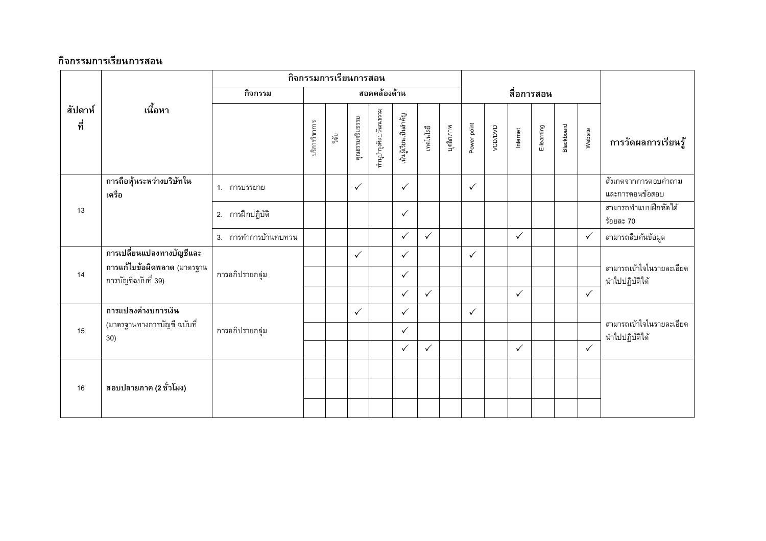|                | กิจกรรมการเรียนการสอน                              |                      |               |              |                 |                       |                          |              |           |              |         |              |            |            |              |                                            |
|----------------|----------------------------------------------------|----------------------|---------------|--------------|-----------------|-----------------------|--------------------------|--------------|-----------|--------------|---------|--------------|------------|------------|--------------|--------------------------------------------|
|                |                                                    | กิจกรรม              |               |              |                 | สอดคล้องด้าน          |                          |              |           |              |         |              | สื่อการสอน |            |              |                                            |
| สัปดาห์<br>ที่ | เนื้อหา                                            |                      | บริการวิชาการ | ្នឹម<br>ភូមិ | คุณธรรมจริยธรรม | กำนุบำรุงศิลปวัฒนธรรม | .<br>นนผู้เรียนเป็นสำคัญ | เทคโนโลยี    | บุคลิกภาพ | Power point  | VCD/DVD | Internet     | E-leaming  | Blackboard | Website      | การวัดผลการเรียนรู้                        |
|                | การถือหุ้นระหว่างบริษัทใน<br>เครือ                 | 1. การบรรยาย         |               |              | $\checkmark$    |                       | $\checkmark$             |              |           | $\checkmark$ |         |              |            |            |              | สังเกตจากการตอบคำถาม<br>และการตอนข้อสอบ    |
| 13             |                                                    | 2. การฝึกปฏิบัติ     |               |              |                 |                       | $\checkmark$             |              |           |              |         |              |            |            |              | สามารถทำแบบฝึกหัดได้<br>ร้อยละ 70          |
|                |                                                    | 3. การทำการบ้านทบทวน |               |              |                 |                       | $\checkmark$             | $\checkmark$ |           |              |         | $\checkmark$ |            |            | $\checkmark$ | สามารถสืบค้นข้อมูล                         |
|                | การเปลี่ยนแปลงทางบัญชีและ                          |                      |               |              | $\checkmark$    |                       | $\checkmark$             |              |           | $\checkmark$ |         |              |            |            |              |                                            |
| 14             | การแก้ไขข้อผิดพลาด (มาตรฐาน<br>การบัญชีฉบับที่ 39) | การอภิปรายกลุ่ม      |               |              |                 |                       | $\checkmark$             |              |           |              |         |              |            |            |              | สามารถเข้าใจในรายละเอียด<br>นำไปปฏิบัติได้ |
|                |                                                    |                      |               |              |                 |                       | $\checkmark$             | $\checkmark$ |           |              |         | $\checkmark$ |            |            | $\checkmark$ |                                            |
|                | การแปลงค่างบการเงิน<br>(มาตรฐานทางการบัญชี ฉบับที่ |                      |               |              | $\checkmark$    |                       | $\checkmark$             |              |           | $\checkmark$ |         |              |            |            |              | สามารถเข้าใจในรายละเอียด                   |
| 15             | 30)                                                | การอภิปรายกลุ่ม      |               |              |                 |                       | $\checkmark$             |              |           |              |         |              |            |            |              | นำไปปฏิบัติได้                             |
|                |                                                    |                      |               |              |                 |                       | $\checkmark$             | $\checkmark$ |           |              |         | $\checkmark$ |            |            | $\checkmark$ |                                            |
|                |                                                    |                      |               |              |                 |                       |                          |              |           |              |         |              |            |            |              |                                            |
| 16             | สอบปลายภาค (2 ชั่วโมง)                             |                      |               |              |                 |                       |                          |              |           |              |         |              |            |            |              |                                            |
|                |                                                    |                      |               |              |                 |                       |                          |              |           |              |         |              |            |            |              |                                            |